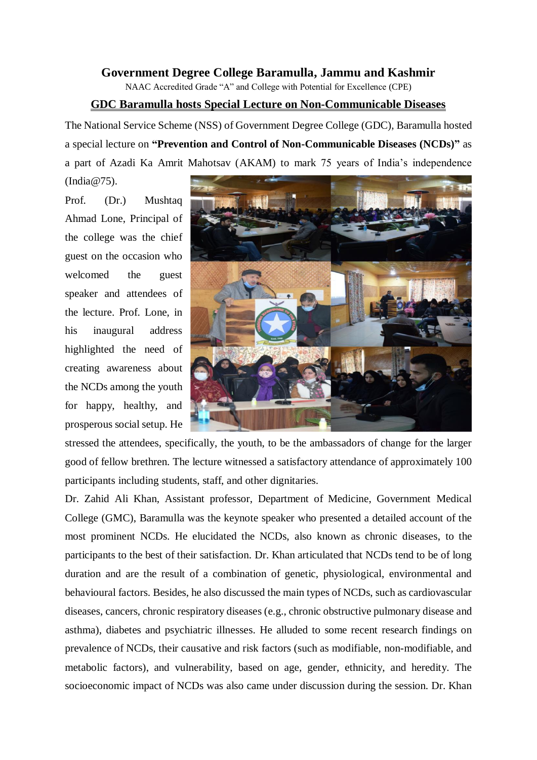## **Government Degree College Baramulla, Jammu and Kashmir**

NAAC Accredited Grade "A" and College with Potential for Excellence (CPE)

## **GDC Baramulla hosts Special Lecture on Non-Communicable Diseases**

The National Service Scheme (NSS) of Government Degree College (GDC), Baramulla hosted a special lecture on **"Prevention and Control of Non-Communicable Diseases (NCDs)"** as a part of Azadi Ka Amrit Mahotsav (AKAM) to mark 75 years of India's independence

(India@75).

Prof. (Dr.) Mushtaq Ahmad Lone, Principal of the college was the chief guest on the occasion who welcomed the guest speaker and attendees of the lecture. Prof. Lone, in his inaugural address highlighted the need of creating awareness about the NCDs among the youth for happy, healthy, and prosperous social setup. He



stressed the attendees, specifically, the youth, to be the ambassadors of change for the larger good of fellow brethren. The lecture witnessed a satisfactory attendance of approximately 100 participants including students, staff, and other dignitaries.

Dr. Zahid Ali Khan, Assistant professor, Department of Medicine, Government Medical College (GMC), Baramulla was the keynote speaker who presented a detailed account of the most prominent NCDs. He elucidated the NCDs, also known as chronic diseases, to the participants to the best of their satisfaction. Dr. Khan articulated that NCDs tend to be of long duration and are the result of a combination of genetic, physiological, environmental and behavioural factors. Besides, he also discussed the main types of NCDs, such as cardiovascular diseases, cancers, chronic respiratory diseases (e.g., chronic obstructive pulmonary disease and asthma), diabetes and psychiatric illnesses. He alluded to some recent research findings on prevalence of NCDs, their causative and risk factors (such as modifiable, non-modifiable, and metabolic factors), and vulnerability, based on age, gender, ethnicity, and heredity. The socioeconomic impact of NCDs was also came under discussion during the session. Dr. Khan